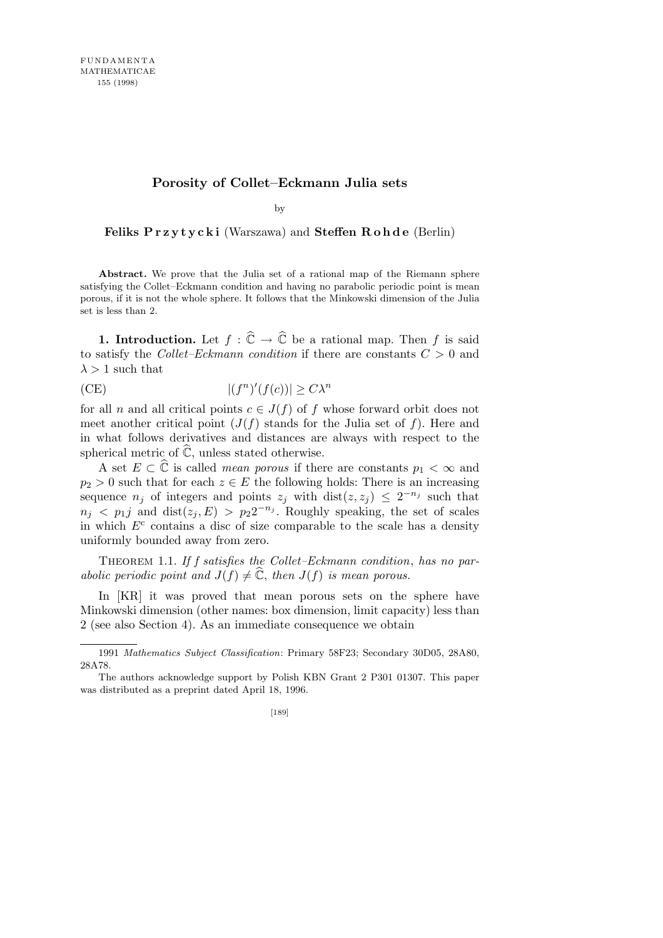## **Porosity of Collet–Eckmann Julia sets**

by

**Feliks P r z y t y c k i** (Warszawa) and **Steffen R o h d e** (Berlin)

Abstract. We prove that the Julia set of a rational map of the Riemann sphere satisfying the Collet–Eckmann condition and having no parabolic periodic point is mean porous, if it is not the whole sphere. It follows that the Minkowski dimension of the Julia set is less than 2.

**1. Introduction.** Let  $f : \widehat{\mathbb{C}} \to \widehat{\mathbb{C}}$  be a rational map. Then f is said to satisfy the *Collet–Eckmann condition* if there are constants *C >* 0 and  $\lambda > 1$  such that

(CE) 
$$
|(f^n)'(f(c))| \ge C\lambda^n
$$

for all *n* and all critical points  $c \in J(f)$  of *f* whose forward orbit does not meet another critical point  $(J(f))$  stands for the Julia set of f). Here and in what follows derivatives and distances are always with respect to the spherical metric of  $\hat{\mathbb{C}}$ , unless stated otherwise.

A set  $E \subset \hat{\mathbb{C}}$  is called *mean porous* if there are constants  $p_1 < \infty$  and  $p_2 > 0$  such that for each  $z \in E$  the following holds: There is an increasing sequence  $n_j$  of integers and points  $z_j$  with dist $(z, z_j) \leq 2^{-n_j}$  such that  $n_j$  <  $p_1j$  and dist $(z_j, E) > p_22^{-n_j}$ . Roughly speaking, the set of scales in which  $E<sup>c</sup>$  contains a disc of size comparable to the scale has a density uniformly bounded away from zero.

Theorem 1.1. *If f satisfies the Collet–Eckmann condition*, *has no parabolic periodic point and*  $J(f) \neq \mathbb{C}$ *, then*  $J(f)$  *is mean porous.* 

In [KR] it was proved that mean porous sets on the sphere have Minkowski dimension (other names: box dimension, limit capacity) less than 2 (see also Section 4). As an immediate consequence we obtain

<sup>1991</sup> *Mathematics Subject Classification*: Primary 58F23; Secondary 30D05, 28A80, 28A78.

The authors acknowledge support by Polish KBN Grant 2 P301 01307. This paper was distributed as a preprint dated April 18, 1996.

<sup>[189]</sup>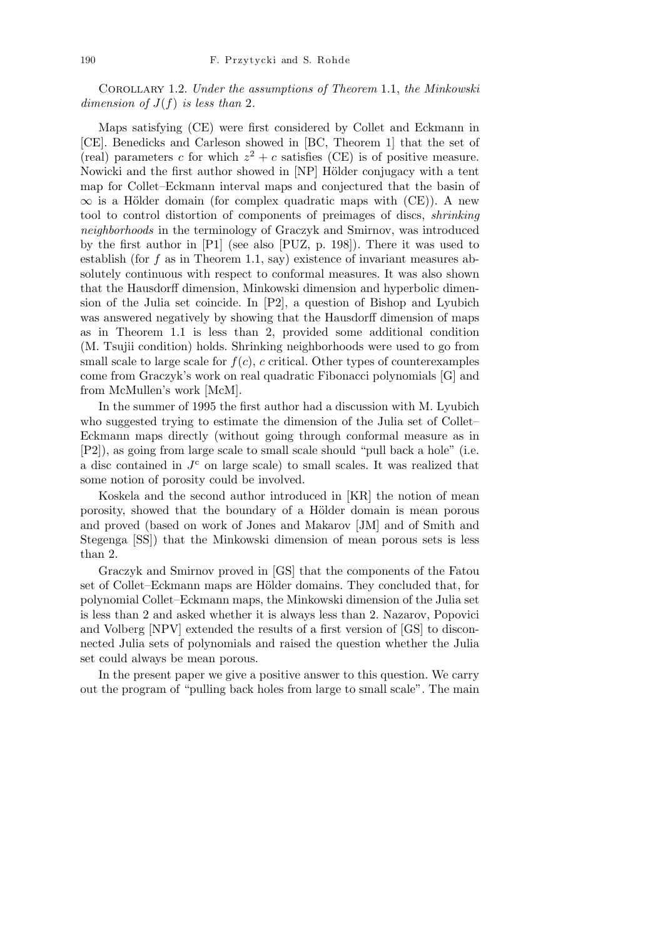Corollary 1.2. *Under the assumptions of Theorem* 1.1, *the Minkowski dimension of*  $J(f)$  *is less than* 2*.* 

Maps satisfying (CE) were first considered by Collet and Eckmann in [CE]. Benedicks and Carleson showed in [BC, Theorem 1] that the set of (real) parameters *c* for which  $z^2 + c$  satisfies (CE) is of positive measure. Nowicki and the first author showed in [NP] Hölder conjugacy with a tent map for Collet–Eckmann interval maps and conjectured that the basin of  $\infty$  is a Hölder domain (for complex quadratic maps with (CE)). A new tool to control distortion of components of preimages of discs, *shrinking neighborhoods* in the terminology of Graczyk and Smirnov, was introduced by the first author in [P1] (see also [PUZ, p. 198]). There it was used to establish (for *f* as in Theorem 1.1, say) existence of invariant measures absolutely continuous with respect to conformal measures. It was also shown that the Hausdorff dimension, Minkowski dimension and hyperbolic dimension of the Julia set coincide. In [P2], a question of Bishop and Lyubich was answered negatively by showing that the Hausdorff dimension of maps as in Theorem 1.1 is less than 2, provided some additional condition (M. Tsujii condition) holds. Shrinking neighborhoods were used to go from small scale to large scale for  $f(c)$ *, c* critical. Other types of counterexamples come from Graczyk's work on real quadratic Fibonacci polynomials [G] and from McMullen's work [McM].

In the summer of 1995 the first author had a discussion with M. Lyubich who suggested trying to estimate the dimension of the Julia set of Collet– Eckmann maps directly (without going through conformal measure as in [P2]), as going from large scale to small scale should "pull back a hole" (i.e. a disc contained in  $J<sup>c</sup>$  on large scale) to small scales. It was realized that some notion of porosity could be involved.

Koskela and the second author introduced in [KR] the notion of mean porosity, showed that the boundary of a Hölder domain is mean porous and proved (based on work of Jones and Makarov [JM] and of Smith and Stegenga [SS]) that the Minkowski dimension of mean porous sets is less than 2.

Graczyk and Smirnov proved in [GS] that the components of the Fatou set of Collet–Eckmann maps are Hölder domains. They concluded that, for polynomial Collet–Eckmann maps, the Minkowski dimension of the Julia set is less than 2 and asked whether it is always less than 2. Nazarov, Popovici and Volberg [NPV] extended the results of a first version of [GS] to disconnected Julia sets of polynomials and raised the question whether the Julia set could always be mean porous.

In the present paper we give a positive answer to this question. We carry out the program of "pulling back holes from large to small scale". The main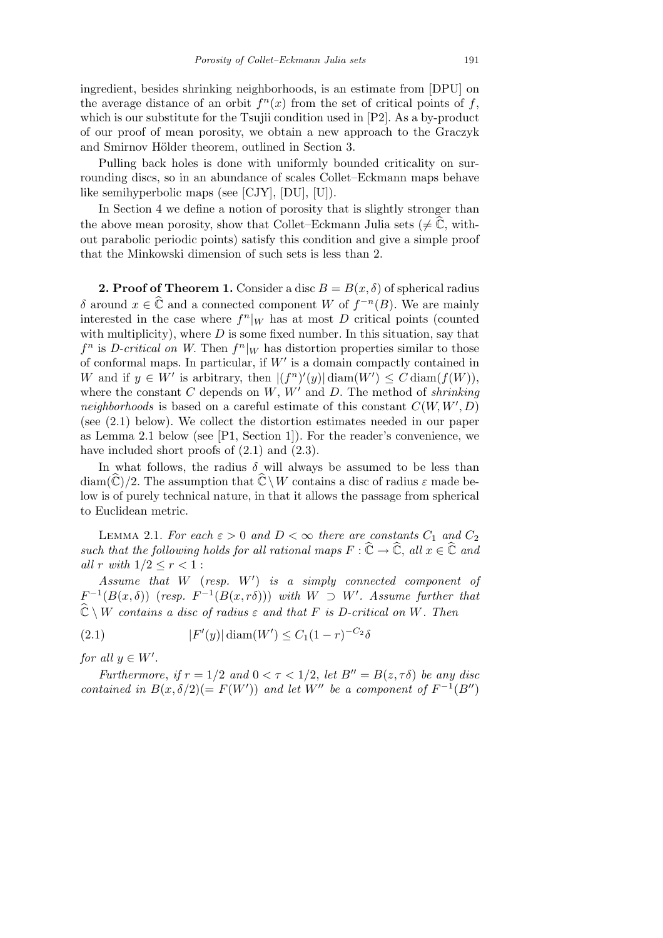ingredient, besides shrinking neighborhoods, is an estimate from [DPU] on the average distance of an orbit  $f^{n}(x)$  from the set of critical points of f, which is our substitute for the Tsujii condition used in [P2]. As a by-product of our proof of mean porosity, we obtain a new approach to the Graczyk and Smirnov Hölder theorem, outlined in Section 3.

Pulling back holes is done with uniformly bounded criticality on surrounding discs, so in an abundance of scales Collet–Eckmann maps behave like semihyperbolic maps (see [CJY], [DU], [U]).

In Section 4 we define a notion of porosity that is slightly stronger than the above mean porosity, show that Collet–Eckmann Julia sets ( $\neq \mathbb{C}$ , without parabolic periodic points) satisfy this condition and give a simple proof that the Minkowski dimension of such sets is less than 2.

**2. Proof of Theorem 1.** Consider a disc  $B = B(x, \delta)$  of spherical radius *δ* around *x* ∈  $\hat{\mathbb{C}}$  and a connected component *W* of *f*<sup>-*n*</sup>(*B*)*.* We are mainly interested in the case where  $f^{n}|_{W}$  has at most *D* critical points (counted with multiplicity), where *D* is some fixed number. In this situation, say that  $f^n$  is *D-critical on W*. Then  $f^n|_W$  has distortion properties similar to those of conformal maps. In particular, if  $W'$  is a domain compactly contained in *W* and if  $y \in W'$  is arbitrary, then  $|(f^n)'(y)| \operatorname{diam}(W') \leq C \operatorname{diam}(f(W))$ , where the constant  $C$  depends on  $W, W'$  and  $D$ . The method of *shrinking neighborhoods* is based on a careful estimate of this constant  $C(W, W', D)$ (see (2.1) below). We collect the distortion estimates needed in our paper as Lemma 2.1 below (see [P1, Section 1]). For the reader's convenience, we have included short proofs of  $(2.1)$  and  $(2.3)$ .

In what follows, the radius  $\delta$  will always be assumed to be less than diam( $\hat{\mathbb{C}}$ )/2. The assumption that  $\hat{\mathbb{C}} \setminus W$  contains a disc of radius  $\varepsilon$  made below is of purely technical nature, in that it allows the passage from spherical to Euclidean metric.

LEMMA 2.1. *For each*  $\varepsilon > 0$  *and*  $D < \infty$  *there are constants*  $C_1$  *and*  $C_2$ *such that the following holds for all rational maps*  $F : \hat{\mathbb{C}} \to \hat{\mathbb{C}}$ *, all*  $x \in \hat{\mathbb{C}}$  *and all*  $r$  *with*  $1/2 \leq r < 1$  :

*Assume that W* (*resp. W<sup>0</sup>* ) *is a simply connected component of*  $F^{-1}(B(x, \delta))$  (*resp.*  $F^{-1}(B(x, r\delta))$ ) *with*  $W \supset W'$ . Assume further that  $\widehat{\mathbb{C}} \setminus W$  *contains a disc of radius*  $\varepsilon$  *and that*  $F$  *is D-critical on*  $W$ *. Then* 

(2.1) 
$$
|F'(y)| \operatorname{diam}(W') \le C_1 (1 - r)^{-C_2} \delta
$$

*for all*  $y \in W'$ .

*Furthermore, if*  $r = 1/2$  *and*  $0 < \tau < 1/2$ , *let*  $B'' = B(z, \tau \delta)$  *be any disc contained in*  $B(x, \delta/2) (= F(W'))$  *and let*  $W''$  *be a component of*  $F^{-1}(B'')$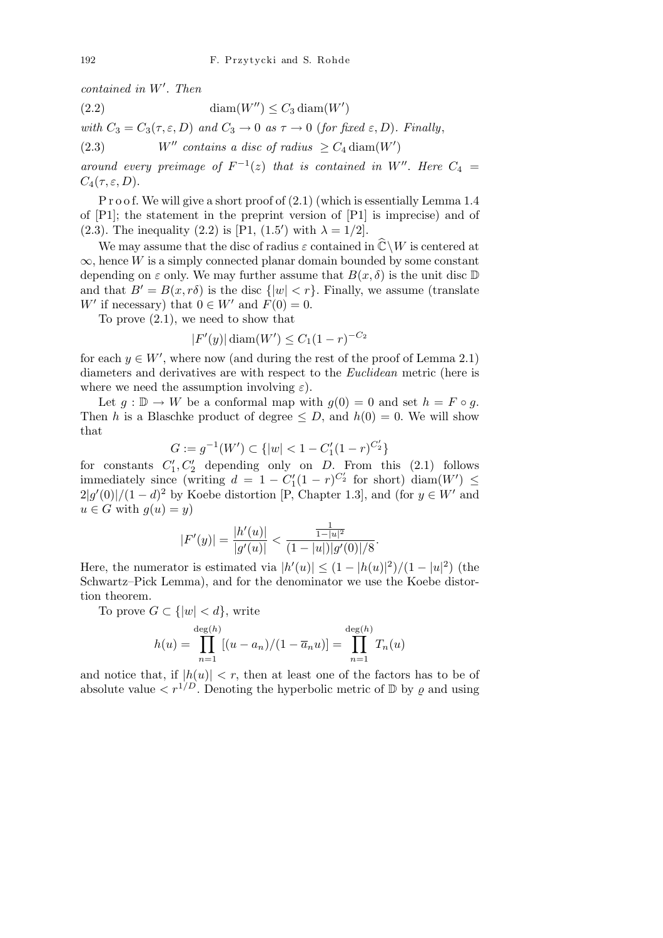*contained in W<sup>0</sup> . Then*

(2.2) 
$$
\text{diam}(W'') \leq C_3 \text{diam}(W')
$$

*with*  $C_3 = C_3(\tau, \varepsilon, D)$  *and*  $C_3 \rightarrow 0$  *as*  $\tau \rightarrow 0$  (*for fixed*  $\varepsilon, D$ *). Finally*,

(2.3) *W<sup>n</sup>* contains a disc of radius  $\geq C_4 \text{diam}(W')$ 

*around every preimage of*  $F^{-1}(z)$  *that is contained in*  $W''$ *. Here*  $C_4$  =  $C_4(\tau, \varepsilon, D)$ .

P r o o f. We will give a short proof of  $(2.1)$  (which is essentially Lemma 1.4 of [P1]; the statement in the preprint version of [P1] is imprecise) and of (2.3). The inequality (2.2) is [P1, (1.5<sup>*r*</sup>) with  $\lambda = 1/2$ ].

We may assume that the disc of radius  $\varepsilon$  contained in  $\widehat{\mathbb{C}} \setminus W$  is centered at *∞*, hence *W* is a simply connected planar domain bounded by some constant depending on  $\varepsilon$  only. We may further assume that  $B(x, \delta)$  is the unit disc  $\mathbb D$ and that  $B' = B(x, r\delta)$  is the disc  $\{|w| < r\}$ . Finally, we assume (translate *W*<sup>*'*</sup> if necessary) that  $0 \in W'$  and  $F(0) = 0$ .

To prove (2.1), we need to show that

$$
|F'(y)|\operatorname{diam}(W') \le C_1(1-r)^{-C_2}
$$

for each  $y \in W'$ , where now (and during the rest of the proof of Lemma 2.1) diameters and derivatives are with respect to the *Euclidean* metric (here is where we need the assumption involving  $\varepsilon$ ).

Let  $g : \mathbb{D} \to W$  be a conformal map with  $g(0) = 0$  and set  $h = F \circ g$ . Then *h* is a Blaschke product of degree  $\leq D$ , and  $h(0) = 0$ . We will show that

$$
G := g^{-1}(W') \subset \{|w| < 1 - C_1'(1 - r)^{C_2'}\}
$$

for constants  $C_1', C_2'$  depending only on *D*. From this (2.1) follows immediately since (writing  $d = 1 - C_1'(1 - r)^{C_2'}$  for short) diam( $W'$ )  $\leq$  $2|g'(0)|/(1-d)^2$  by Koebe distortion [P, Chapter 1.3], and (for  $y \in W'$  and  $u \in G$  with  $q(u) = y$ 

$$
|F'(y)| = \frac{|h'(u)|}{|g'(u)|} < \frac{\frac{1}{1-|u|^2}}{(1-|u|)|g'(0)|/8}
$$

*.*

Here, the numerator is estimated via  $|h'(u)| \leq (1 - |h(u)|^2)/(1 - |u|^2)$  (the Schwartz–Pick Lemma), and for the denominator we use the Koebe distortion theorem.

To prove  $G \subset \{ |w| < d \}$ , write

$$
h(u) = \prod_{n=1}^{\deg(h)} [(u - a_n)/(1 - \overline{a}_n u)] = \prod_{n=1}^{\deg(h)} T_n(u)
$$

and notice that, if  $|h(u)| < r$ , then at least one of the factors has to be of absolute value  $\langle r^{1/D} \rangle$ . Denoting the hyperbolic metric of  $\mathbb D$  by  $\rho$  and using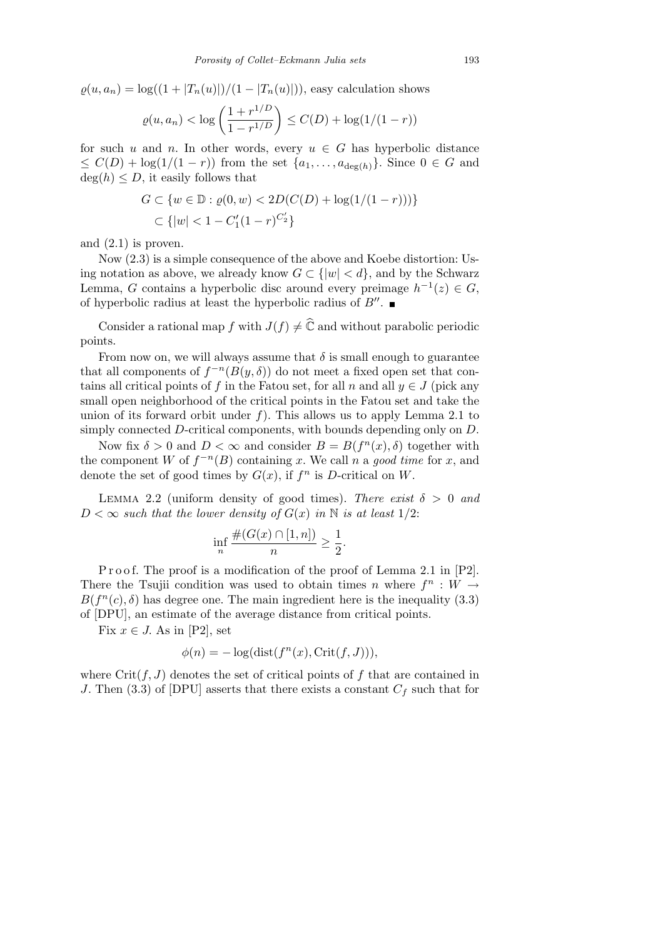$g(u, a_n) = \log((1 + |T_n(u)|)/(1 - |T_n(u)|))$ , easy calculation shows

$$
\varrho(u, a_n) < \log\left(\frac{1 + r^{1/D}}{1 - r^{1/D}}\right) \le C(D) + \log(1/(1 - r))
$$

for such *u* and *n*. In other words, every  $u \in G$  has hyperbolic distance  $\leq C(D) + \log(1/(1-r))$  from the set  $\{a_1, \ldots, a_{\deg(h)}\}$ . Since  $0 \in G$  and  $deg(h) \leq D$ , it easily follows that

$$
G \subset \{w \in \mathbb{D} : \varrho(0, w) < 2D(C(D) + \log(1/(1-r)))\} \\
\subset \{|w| < 1 - C_1'(1-r)^{C_2'}\}
$$

and (2.1) is proven.

Now (2.3) is a simple consequence of the above and Koebe distortion: Using notation as above, we already know  $G \subset \{ |w| < d \}$ , and by the Schwarz Lemma, *G* contains a hyperbolic disc around every preimage  $h^{-1}(z) \in G$ , of hyperbolic radius at least the hyperbolic radius of  $B''$ .

Consider a rational map *f* with  $J(f) \neq \hat{C}$  and without parabolic periodic points.

From now on, we will always assume that  $\delta$  is small enough to guarantee that all components of  $f^{-n}(B(y, \delta))$  do not meet a fixed open set that contains all critical points of *f* in the Fatou set, for all *n* and all  $y \in J$  (pick any small open neighborhood of the critical points in the Fatou set and take the union of its forward orbit under *f*). This allows us to apply Lemma 2.1 to simply connected *D*-critical components, with bounds depending only on *D*.

Now fix  $\delta > 0$  and  $D < \infty$  and consider  $B = B(f^n(x), \delta)$  together with the component *W* of  $f^{-n}(B)$  containing *x*. We call *n* a good time for *x*, and denote the set of good times by  $G(x)$ , if  $f^n$  is *D*-critical on *W*.

LEMMA 2.2 (uniform density of good times). *There exist*  $\delta > 0$  *and*  $D < \infty$  *such that the lower density of*  $G(x)$  *in* N *is at least* 1/2:

$$
\inf_n \frac{\#(G(x) \cap [1,n])}{n} \ge \frac{1}{2}.
$$

P r o o f. The proof is a modification of the proof of Lemma 2.1 in [P2]. There the Tsujii condition was used to obtain times *n* where  $f^n: W \to$  $B(f^n(c), \delta)$  has degree one. The main ingredient here is the inequality (3.3) of [DPU], an estimate of the average distance from critical points.

Fix  $x \in J$ . As in [P2], set

$$
\phi(n) = -\log(\text{dist}(f^n(x), \text{Crit}(f, J))),
$$

where  $\text{Crit}(f, J)$  denotes the set of critical points of f that are contained in *J*. Then (3.3) of [DPU] asserts that there exists a constant *C<sup>f</sup>* such that for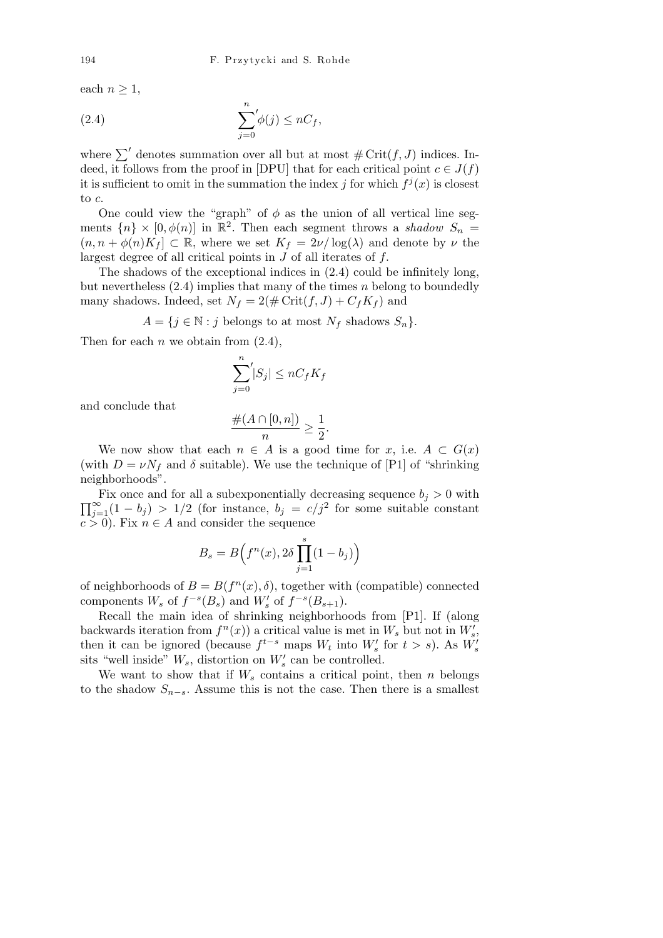each  $n \geq 1$ ,

(2.4) 
$$
\sum_{j=0}^{n} \phi(j) \leq nC_f,
$$

where  $\sum'$  denotes summation over all but at most  $\#\operatorname{Crit}(f,J)$  indices. Indeed, it follows from the proof in [DPU] that for each critical point  $c \in J(f)$ it is sufficient to omit in the summation the index *j* for which  $f^j(x)$  is closest to *c*.

One could view the "graph" of  $\phi$  as the union of all vertical line segments  $\{n\} \times [0, \phi(n)]$  in  $\mathbb{R}^2$ . Then each segment throws a *shadow*  $S_n =$  $(n, n + \phi(n)K_f] \subset \mathbb{R}$ , where we set  $K_f = 2\nu/\log(\lambda)$  and denote by  $\nu$  the largest degree of all critical points in *J* of all iterates of *f.*

The shadows of the exceptional indices in (2.4) could be infinitely long, but nevertheless (2.4) implies that many of the times *n* belong to boundedly many shadows. Indeed, set  $N_f = 2(\text{# Crit}(f, J) + C_f K_f)$  and

 $A = \{j \in \mathbb{N} : j \text{ belongs to at most } N_f \text{ shadows } S_n\}.$ 

Then for each *n* we obtain from  $(2.4)$ ,

$$
\sum_{j=0}^{n} |S_j| \le nC_f K_f
$$

and conclude that

$$
\frac{\#(A\cap [0,n])}{n}\geq \frac{1}{2}.
$$

We now show that each  $n \in A$  is a good time for *x*, i.e.  $A \subset G(x)$ (with  $D = vN_f$  and  $\delta$  suitable). We use the technique of [P1] of "shrinking" neighborhoods".

FIX once and for all a subexponentially decreasing sequence  $v_j > 0$  with  $\prod_{j=1}^{\infty} (1 - b_j) > 1/2$  (for instance,  $b_j = c/j^2$  for some suitable constant Fix once and for all a subexponentially decreasing sequence  $b_j > 0$  with  $c > 0$ ). Fix  $n \in A$  and consider the sequence

$$
B_s = B\left(f^n(x), 2\delta \prod_{j=1}^s (1 - b_j)\right)
$$

of neighborhoods of  $B = B(f^n(x), \delta)$ , together with (compatible) connected components  $W_s$  of  $f^{-s}(B_s)$  and  $W'_s$  of  $f^{-s}(B_{s+1})$ .

Recall the main idea of shrinking neighborhoods from [P1]. If (along backwards iteration from  $f^{(n)}(x)$  a critical value is met in  $W_s$  but not in  $W'_s$ , then it can be ignored (because  $f^{t-s}$  maps  $W_t$  into  $W'_s$  for  $t > s$ ). As  $W'_s$ sits "well inside"  $W_s$ , distortion on  $W'_s$  can be controlled.

We want to show that if  $W_s$  contains a critical point, then  $n$  belongs to the shadow  $S_{n-s}$ . Assume this is not the case. Then there is a smallest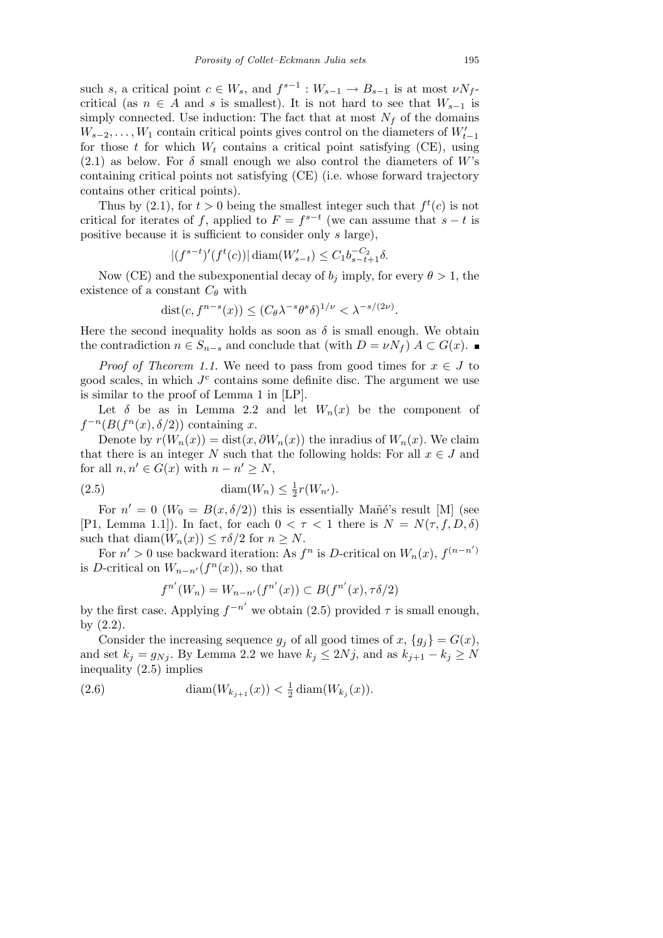such *s*, a critical point  $c \in W_s$ , and  $f^{s-1}: W_{s-1} \to B_{s-1}$  is at most  $\nu N_f$ critical (as  $n \in A$  and *s* is smallest). It is not hard to see that  $W_{s-1}$  is simply connected. Use induction: The fact that at most  $N_f$  of the domains  $W_{s-2}, \ldots, W_1$  contain critical points gives control on the diameters of  $W'_{t-1}$ for those  $t$  for which  $W_t$  contains a critical point satisfying (CE), using  $(2.1)$  as below. For  $\delta$  small enough we also control the diameters of *W*'s containing critical points not satisfying (CE) (i.e. whose forward trajectory contains other critical points).

Thus by (2.1), for  $t > 0$  being the smallest integer such that  $f^t(c)$  is not critical for iterates of *f*, applied to  $F = f^{s-t}$  (we can assume that  $s - t$  is positive because it is sufficient to consider only *s* large),

$$
|(f^{s-t})'(f^t(c))| \operatorname{diam}(W'_{s-t}) \le C_1 b_{s-t+1}^{-C_2} \delta.
$$

Now (CE) and the subexponential decay of  $b_j$  imply, for every  $\theta > 1$ , the existence of a constant  $C_{\theta}$  with

$$
dist(c, f^{n-s}(x)) \le (C_{\theta} \lambda^{-s} \theta^s \delta)^{1/\nu} < \lambda^{-s/(2\nu)}
$$

*.*

Here the second inequality holds as soon as  $\delta$  is small enough. We obtain the contradiction  $n \in S_{n-s}$  and conclude that (with  $D = \nu N_f$ )  $A \subset G(x)$ .

*Proof of Theorem 1.1.* We need to pass from good times for  $x \in J$  to good scales, in which  $J<sup>c</sup>$  contains some definite disc. The argument we use is similar to the proof of Lemma 1 in [LP].

Let  $\delta$  be as in Lemma 2.2 and let  $W_n(x)$  be the component of  $f^{-n}(B(f^n(x), \delta/2))$  containing *x*.

Denote by  $r(W_n(x)) = \text{dist}(x, \partial W_n(x))$  the inradius of  $W_n(x)$ . We claim that there is an integer *N* such that the following holds: For all  $x \in J$  and for all  $n, n' \in G(x)$  with  $n - n' \geq N$ ,

$$
(2.5) \qquad \qquad \text{diam}(W_n) \leq \frac{1}{2}r(W_{n'}).
$$

For  $n' = 0$  ( $W_0 = B(x, \delta/2)$ ) this is essentially Mañe's result [M] (see [P1, Lemma 1.1]). In fact, for each  $0 < \tau < 1$  there is  $N = N(\tau, f, D, \delta)$ such that  $\text{diam}(W_n(x)) \leq \tau \delta/2$  for  $n \geq N$ .

For  $n' > 0$  use backward iteration: As  $f^n$  is *D*-critical on  $W_n(x)$ ,  $f^{(n-n')}$ is *D*-critical on  $W_{n-n'}(f^n(x))$ , so that

$$
f^{n'}(W_n) = W_{n-n'}(f^{n'}(x)) \subset B(f^{n'}(x), \tau \delta/2)
$$

by the first case. Applying  $f^{-n'}$  we obtain (2.5) provided  $\tau$  is small enough, by (2.2).

Consider the increasing sequence  $g_j$  of all good times of  $x$ ,  $\{g_j\} = G(x)$ , and set  $k_j = g_{Nj}$ . By Lemma 2.2 we have  $k_j \leq 2Nj$ , and as  $k_{j+1} - k_j \geq N$ inequality (2.5) implies

(2.6) 
$$
\text{diam}(W_{k_{j+1}}(x)) < \frac{1}{2}\text{diam}(W_{k_j}(x)).
$$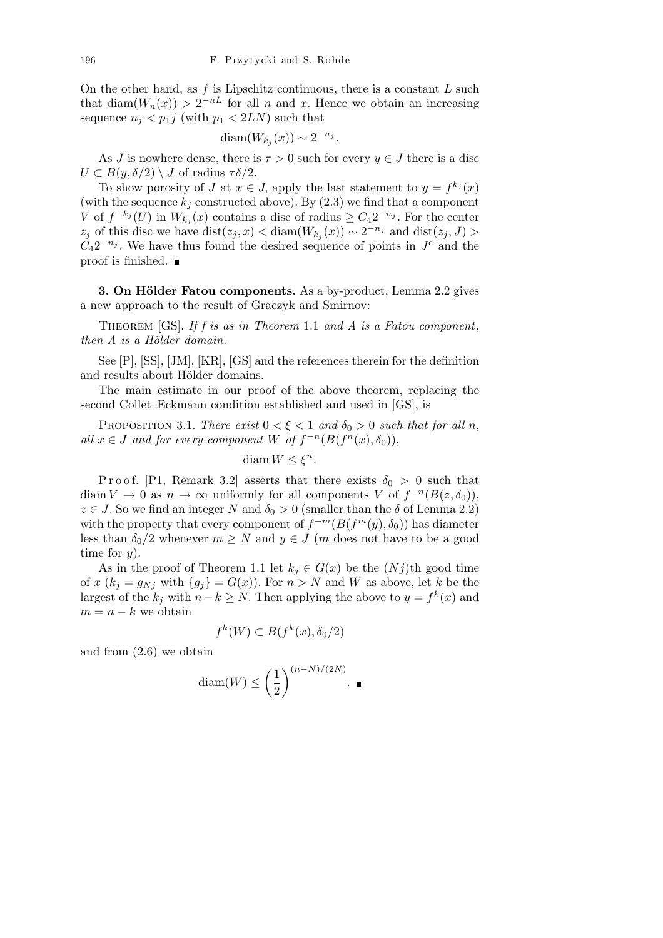On the other hand, as *f* is Lipschitz continuous, there is a constant *L* such that diam $(W_n(x)) > 2^{-nL}$  for all *n* and *x*. Hence we obtain an increasing sequence  $n_j < p_1 j$  (with  $p_1 < 2LN$ ) such that

$$
\text{diam}(W_{k_j}(x)) \sim 2^{-n_j}.
$$

As *J* is nowhere dense, there is  $\tau > 0$  such for every  $y \in J$  there is a disc  $U \subset B(y, \delta/2) \setminus J$  of radius  $\tau \delta/2$ .

To show porosity of *J* at  $x \in J$ , apply the last statement to  $y = f^{k_j}(x)$ (with the sequence  $k_j$  constructed above). By  $(2.3)$  we find that a component *V* of  $f^{-k_j}(U)$  in  $W_{k_j}(x)$  contains a disc of radius  $\geq C_4 2^{-n_j}$ . For the center  $z_j$  of this disc we have  $dist(z_j, x) < diam(W_{k_j}(x)) \sim 2^{-n_j}$  and  $dist(z_j, J) >$  $C_4 2^{-n_j}$ . We have thus found the desired sequence of points in  $J^c$  and the proof is finished.

**3. On Hölder Fatou components.** As a by-product, Lemma 2.2 gives a new approach to the result of Graczyk and Smirnov:

Theorem [GS]. *If f is as in Theorem* 1.1 *and A is a Fatou component*, *then A is a Hölder domain.* 

See [P], [SS], [JM], [KR], [GS] and the references therein for the definition and results about Hölder domains.

The main estimate in our proof of the above theorem, replacing the second Collet–Eckmann condition established and used in [GS], is

PROPOSITION 3.1. *There exist*  $0 < \xi < 1$  *and*  $\delta_0 > 0$  *such that for all n, all*  $x \in J$  *and for every component*  $W$  *of*  $f^{-n}(B(f^n(x), \delta_0)),$ 

$$
\operatorname{diam} W \le \xi^n.
$$

Proof. [P1, Remark 3.2] asserts that there exists  $\delta_0 > 0$  such that diam  $V \to 0$  as  $n \to \infty$  uniformly for all components  $V$  of  $f^{-n}(B(z, \delta_0)),$  $z \in J$ . So we find an integer *N* and  $\delta_0 > 0$  (smaller than the *δ* of Lemma 2.2) with the property that every component of  $f^{-m}(B(f^m(y), \delta_0))$  has diameter less than  $\delta_0/2$  whenever  $m \geq N$  and  $y \in J$  (*m* does not have to be a good time for *y*).

As in the proof of Theorem 1.1 let  $k_j \in G(x)$  be the  $(Nj)$ <sup>th</sup> good time of *x* ( $k_j = g_{Nj}$  with  $\{g_j\} = G(x)$ ). For  $n > N$  and *W* as above, let *k* be the largest of the  $k_j$  with  $n-k \geq N$ . Then applying the above to  $y = f^k(x)$  and  $m = n - k$  we obtain

$$
f^k(W) \subset B(f^k(x), \delta_0/2)
$$

and from (2.6) we obtain

$$
\text{diam}(W) \le \left(\frac{1}{2}\right)^{(n-N)/(2N)}.
$$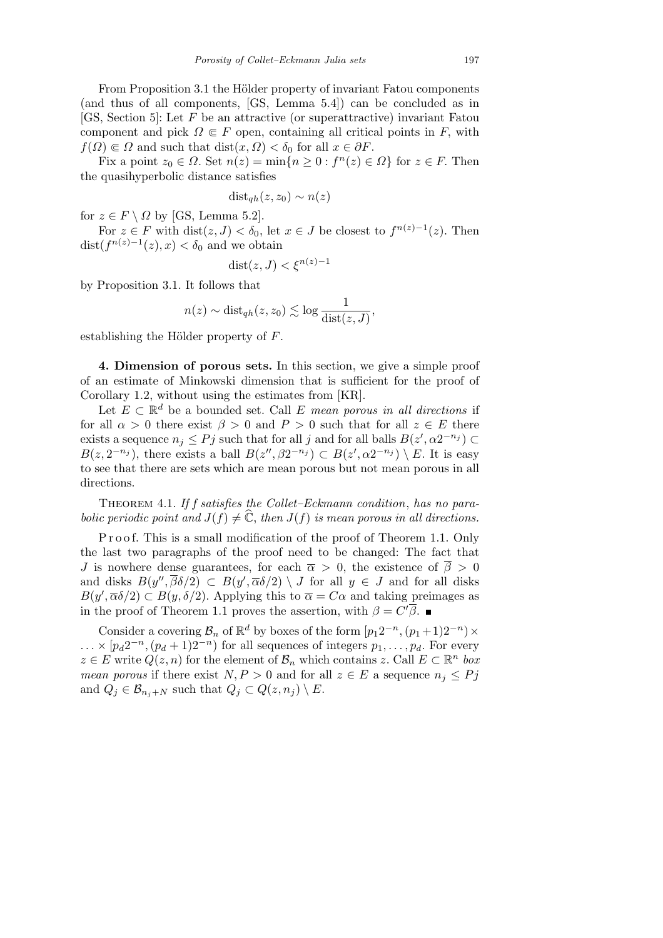From Proposition 3.1 the Hölder property of invariant Fatou components (and thus of all components, [GS, Lemma 5.4]) can be concluded as in [GS, Section 5]: Let *F* be an attractive (or superattractive) invariant Fatou component and pick  $\Omega \in F$  open, containing all critical points in *F*, with  $f(\Omega) \in \Omega$  and such that dist $(x, \Omega) < \delta_0$  for all  $x \in \partial F$ .

Fix a point  $z_0 \in \Omega$ . Set  $n(z) = \min\{n \ge 0 : f^n(z) \in \Omega\}$  for  $z \in F$ . Then the quasihyperbolic distance satisfies

$$
dist_{qh}(z, z_0) \sim n(z)
$$

for  $z \in F \setminus \Omega$  by [GS, Lemma 5.2].

For  $z \in F$  with  $dist(z, J) < \delta_0$ , let  $x \in J$  be closest to  $f^{n(z)-1}(z)$ . Then  $\text{dist}(f^{n(z)-1}(z), x) < \delta_0$  and we obtain

$$
dist(z, J) < \xi^{n(z)-1}
$$

by Proposition 3.1. It follows that

$$
n(z) \sim \text{dist}_{qh}(z, z_0) \lesssim \log \frac{1}{\text{dist}(z, J)},
$$

establishing the Hölder property of *F*.

**4. Dimension of porous sets.** In this section, we give a simple proof of an estimate of Minkowski dimension that is sufficient for the proof of Corollary 1.2, without using the estimates from [KR].

Let  $E \subset \mathbb{R}^d$  be a bounded set. Call  $E$  *mean porous in all directions* if for all  $\alpha > 0$  there exist  $\beta > 0$  and  $P > 0$  such that for all  $z \in E$  there exists a sequence  $n_j \leq Pj$  such that for all *j* and for all balls  $B(z', \alpha 2^{-n_j}) \subset$  $B(z, 2^{-n_j})$ , there exists a ball  $B(z'', \beta 2^{-n_j}) \subset B(z', \alpha 2^{-n_j}) \setminus E$ . It is easy to see that there are sets which are mean porous but not mean porous in all directions.

Theorem 4.1. *If f satisfies the Collet–Eckmann condition*, *has no parabolic periodic point and*  $J(f) \neq \hat{\mathbb{C}}$ , *then*  $J(f)$  *is mean porous in all directions.* 

Proof. This is a small modification of the proof of Theorem 1.1. Only the last two paragraphs of the proof need to be changed: The fact that *J* is nowhere dense guarantees, for each  $\bar{\alpha} > 0$ , the existence of  $\bar{\beta} > 0$ and disks  $B(y'', \overline{\beta}\delta/2) \subset B(y', \overline{\alpha}\delta/2) \setminus J$  for all  $y \in J$  and for all disks  $B(y', \overline{\alpha}\delta/2) \subset B(y, \delta/2)$ . Applying this to  $\overline{\alpha} = C\alpha$  and taking preimages as in the proof of Theorem 1.1 proves the assertion, with  $\beta = C'\overline{\beta}$ .

Consider a covering  $\mathcal{B}_n$  of  $\mathbb{R}^d$  by boxes of the form  $[p_1 2^{-n}, (p_1 + 1)2^{-n}) \times$  $\ldots \times [p_d 2^{-n}, (p_d + 1)2^{-n})$  for all sequences of integers  $p_1, \ldots, p_d$ . For every  $z \in E$  write  $Q(z, n)$  for the element of  $B_n$  which contains  $z$ . Call  $E \subset \mathbb{R}^n$  *box mean porous* if there exist  $N, P > 0$  and for all  $z \in E$  a sequence  $n_j \leq Pj$ and  $Q_j \in \mathcal{B}_{n_j+N}$  such that  $Q_j \subset Q(z, n_j) \setminus E$ .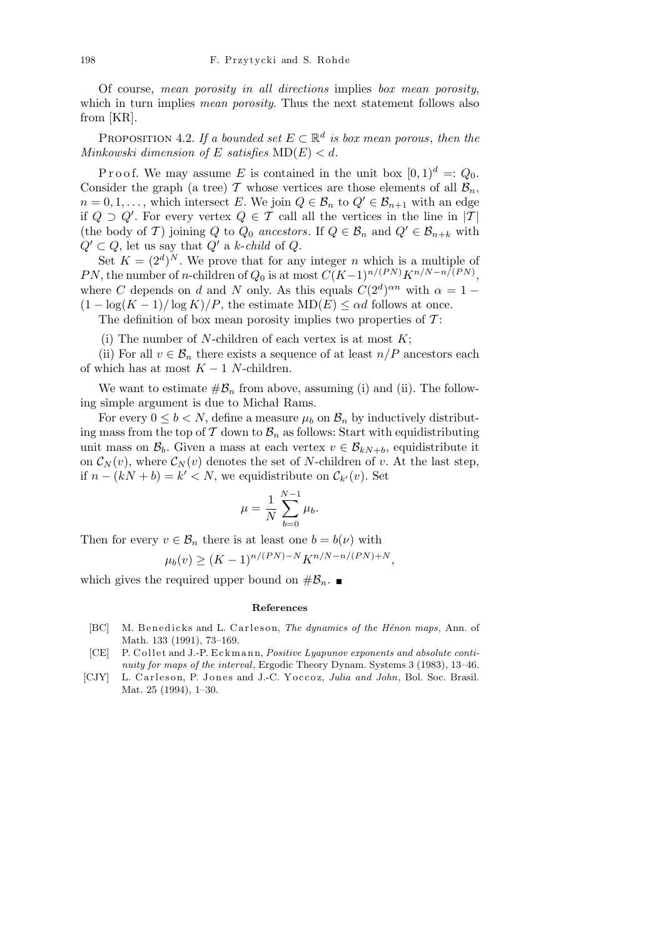Of course, *mean porosity in all directions* implies *box mean porosity*, which in turn implies *mean porosity*. Thus the next statement follows also from [KR].

PROPOSITION 4.2. If a bounded set  $E \subset \mathbb{R}^d$  is box mean porous, then the *Minkowski dimension of E satisfies*  $MD(E) < d$ *.* 

P r o o f. We may assume *E* is contained in the unit box  $[0,1)^d = Q_0$ . Consider the graph (a tree)  $\mathcal T$  whose vertices are those elements of all  $\mathcal B_n$ ,  $n = 0, 1, \ldots$ , which intersect *E*. We join  $Q \in \mathcal{B}_n$  to  $Q' \in \mathcal{B}_{n+1}$  with an edge if  $Q \supset Q'$ . For every vertex  $Q \in \mathcal{T}$  call all the vertices in the line in  $|\mathcal{T}|$ (the body of *T*) joining *Q* to  $Q_0$  *ancestors*. If  $Q \in \mathcal{B}_n$  and  $Q' \in \mathcal{B}_{n+k}$  with  $Q' \subset Q$ , let us say that  $Q'$  a *k*-*child* of  $Q$ .

Set  $K = (2^d)^N$ . We prove that for any integer *n* which is a multiple of *PN*, the number of *n*-children of  $Q_0$  is at most  $C(K-1)^{n/(PN)}K^{n/N-n/(PN)}$ , where *C* depends on *d* and *N* only. As this equals  $C(2^d)^{\alpha n}$  with  $\alpha = 1 (1 - \log(K - 1)/\log K)/P$ , the estimate MD $(E) \leq \alpha d$  follows at once.

The definition of box mean porosity implies two properties of *T* :

(i) The number of *N*-children of each vertex is at most *K*;

(ii) For all  $v \in \mathcal{B}_n$  there exists a sequence of at least  $n/P$  ancestors each of which has at most  $K-1$  *N*-children.

We want to estimate  $\#\mathcal{B}_n$  from above, assuming (i) and (ii). The following simple argument is due to Michał Rams.

For every  $0 \leq b < N$ , define a measure  $\mu_b$  on  $\mathcal{B}_n$  by inductively distributing mass from the top of  $\mathcal T$  down to  $\mathcal B_n$  as follows: Start with equidistributing unit mass on  $\mathcal{B}_b$ . Given a mass at each vertex  $v \in \mathcal{B}_{kN+b}$ , equidistribute it on  $\mathcal{C}_N(v)$ , where  $\mathcal{C}_N(v)$  denotes the set of *N*-children of *v*. At the last step, if  $n - (kN + b) = k' < N$ , we equidistribute on  $\mathcal{C}_{k'}(v)$ . Set

$$
\mu = \frac{1}{N} \sum_{b=0}^{N-1} \mu_b.
$$

Then for every  $v \in \mathcal{B}_n$  there is at least one  $b = b(\nu)$  with

$$
\mu_b(v) \ge (K-1)^{n/(PN)-N} K^{n/N-n/(PN)+N},
$$

which gives the required upper bound on  $\#\mathcal{B}_n$ .

## **References**

- [BC] M. Benedicks and L. Carleson, *The dynamics of the Hénon maps*, Ann. of Math. 133 (1991), 73–169.
- [CE] P. Collet and J.-P. Eckmann, *Positive Lyapunov exponents and absolute continuity for maps of the interval*, Ergodic Theory Dynam. Systems 3 (1983), 13–46.
- [CJY] L. Carleson, P. Jones and J.-C. Yoccoz, *Julia and John*, Bol. Soc. Brasil. Mat. 25 (1994), 1–30.